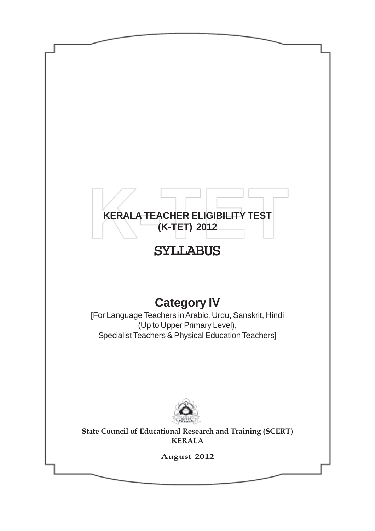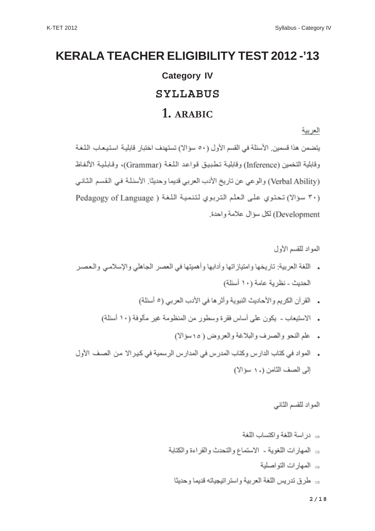# **KERALA TEACHER ELIGIBILITY TEST 2012 -'13 Category IV SYLLABUS 1. ARABIC**

العربية

يتضمن هذا قسمين. الأسئلة في القسم الأول (٥٠ سؤالا) تستهدف اختبار قابلية استيعاب اللغة وقابلية التخمين (Inference) وقابلية تطبيق قواعد اللغة (Grammar)، وقابلية الألفاظ (Verbal Ability) والوعي عن تاريخ الأدب العربي قديما وحديثا. الأسئلة في القسم الثاني (٣٠ سؤالا) تحتوي على العلم التربوي لتنمية اللغة ( Pedagogy of Language Development) لكل سؤال علامة واحدة.

المواد للقسم الأولى

- ءِ اللغة العربية: تاريخها وامثيارْ اتها و آدابها و أهميتها في العصر الجاهلي و الإسلامي و الـعصير -الحديث - نظر ية عامة (١٠ أسئلة)
	- . القرآن الكريم والأحاديث النبوية وأثر ها في الأدب العربي (٥ أسئلة)
	- . الاستيعاب يكون على أساس فقرة وسطور من المنظومة غير مألوفة (١٠ أسئلة)
		- . علم النحو والصرف والبلاغة والعروض (١٥٠سؤالا)
- . المواد في كتاب الدارس وكتاب المدرس في المدارس الرسمية في كير الا من الصف الأول إلى الصف الثامن (١٠ سؤالا)

المواد للقسم الثاني

**2/18**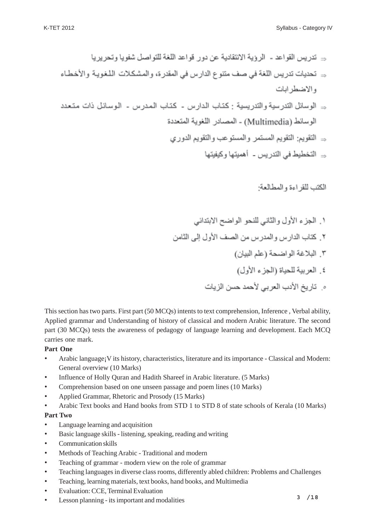- → تدريس القواعد الروية الانتقادية عن دور قواعد اللغة للتواصل شفويا وتحرير يا ⇒ تحديات تدريس اللغة في صف متنوع الدارس في المقدرة، والمشكلات اللغويـة والأخطـاء و الاضطر ابات د الوسائل التدرسية والتدريسية : كتاب الدارس - كتاب المدرس - الوسائل ذات متعدد الوسائط (Multimedia) - المصادر اللغوية المتحددة
	- ⇒ النقويم: النقويم المستمر\_و المستو عب و النقويم الدور ي ⇒ التخطيط في التدريس - أهميتها وكيفيتها

الكتب للقر اءة و المطالعة:

١. الجزء الأول والثاني للنحو الواضح الابتدائي ٢. كتاب الدارس والمدرس من الصف الأول إلى الثامن ٣. البلاغة الواضحة (علم البيان) ٤. العربية للحياة (الجزء الأول) ه . تاريخ الأدب العربي لأحمد حسن الزيات

This section has two parts. First part (50 MCQs) intents to text comprehension, Inference , Verbal ability, Applied grammar and Understanding of history of classical and modern Arabic literature. The second part (30 MCQs) tests the awareness of pedagogy of language learning and development. Each MCQ carries one mark.

#### **Part One**

- Arabic language; V its history, characteristics, literature and its importance Classical and Modern: General overview (10 Marks)
- Influence of Holly Ouran and Hadith Shareef in Arabic literature. (5 Marks)
- Comprehension based on one unseen passage and poem lines (10 Marks)
- Applied Grammar, Rhetoric and Prosody (15 Marks)
- Arabic Text books and Hand books from STD 1 to STD 8 of state schools of Kerala (10 Marks)

#### **Part Two**

- Language learning and acquisition
- Basic language skills listening, speaking, reading and writing
- Communication skills
- Methods of Teaching Arabic Traditional and modern
- Teaching of grammar modern view on the role of grammar
- Teaching languages in diverse class rooms, differently abled children: Problems and Challenges
- Teaching, learning materials, text books, hand books, and Multimedia
- Evaluation: CCE, Terminal Evaluation
- Lesson planning its important and modalities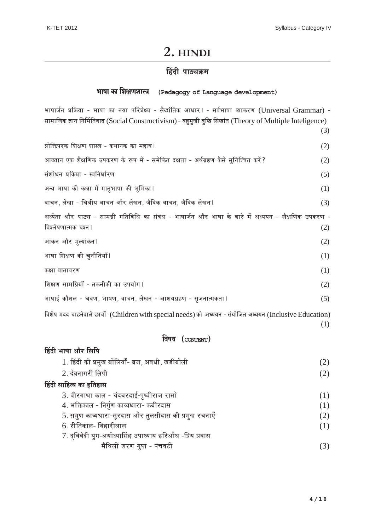<u>द्विंदी भाषा और लिपि</u>

# **2. HINDI**

#### $\hat{B}$ देवी पाठ्यक्रम

# **¶……π…… EÚ… ∂…I…h…∂……∫j… (Pedagogy of Language development)**

भाषार्जन प्रक्रिया - भाषा का नया परिप्रेक्ष्य - सैद्धांतिक आधार। - सर्वभाषा व्याकरण (Universal Grammar) -सामाजिक ज्ञान निर्मितिवाद (Social Constructivism) - बहुमुखी बुद्धि सिद्धांत (Theory of Multiple Inteligence)

(3)  $\overline{\text{M}}$ क्तिपरक शिक्षण शास्त्र - कथानक का महत्व l $\qquad \qquad \text{(2)}$ आख्यान एक शैक्षणिक उपकरण के रूप में - समेकित दक्षता - अर्थग्रहण कैसे सुनिश्चित करें? (2)  $\overline{v}$ संशोधन प्रक्रिया - स्वनिर्धारण  $(5)$ अन्य भाषा की कक्षा में मातृभाषा की भूमिका ।  $(1)$ ¥……S…x…, ±…‰J…… - S…j…"™… §……S…x… +…ËÆ˙ ±…‰J…x…, V…Ë ¥…EÚ ¥……S…x…, V…Ë ¥…EÚ ±…‰J…x…\* (3) अध्येता और पाठ्य - सामग्री गतिविधि का संबंध - भाषार्जन और भाषा के बारे में अध्ययन - शैक्षणिक उपकरण -विश्लेषणात्मक प्रश्न ।  $(2)$ आंकन और मूल्यांकन ।  $(2)$ भाषा शिक्षण की चुनौतियाँ  $\vert$   $\vert$ कक्षा वातावरण $(1)$ शिक्षण सामग्रियाँ - तकनीकी का उपयोग ।  $(2)$ भाषाई कौशल - श्रवण, भाषण, वाचन, लेखन - आशयग्रहण - सृजनात्मकता ।  $(5)$ विशेष मदद चाहनेवाले छात्रों (Children with special needs) को अध्ययन - संयोजित अध्ययन (Inclusive Education)

#### **¥…π…™… (CONTENT)**

| 1. हिंदी की प्रमुख बोलियाँ- ब्रज, अवधी, खड़ीबोली         | (2) |
|----------------------------------------------------------|-----|
| 2. देवनागरी लिपी                                         | (2) |
| हिंदी साहित्य का इतिहास                                  |     |
| 3. वीरगाथा काल - चंदबरदाई-पृथ्वीराज रासो                 | (1) |
| 4. भक्तिकाल - निर्गुण काव्यधारा- कबीरदास                 | (1) |
| 5. सगुण काव्यधारा-सूरदास और तुलसीदास की प्रमुख रचनाएँ    | (2) |
| 6. रीतिकाल- बिहारीलाल                                    | (1) |
| 7. द्विवेदी युग-अयोध्यासिंह उपाध्याय हरिऔध -प्रिय प्रवास |     |
| मैथिली शरण गुप्त - पंचवटी                                |     |
|                                                          |     |

(1)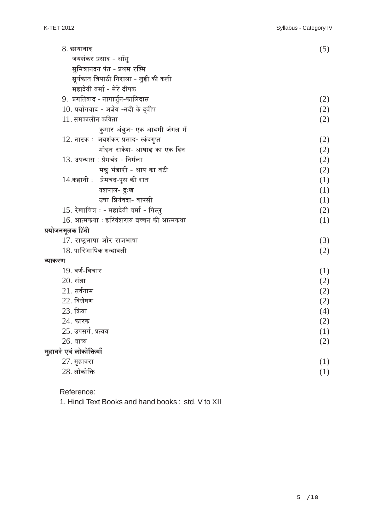| 8. छायावाद                                  | (5) |
|---------------------------------------------|-----|
| जयशंकर प्रसाद - आँसू                        |     |
| सुमित्रानंदन पंत - प्रथम रश्मि              |     |
| सूर्यकांत त्रिपाठी निराला - जुही की कली     |     |
| महादेवी वर्मा - मेरे दीपक                   |     |
| 9. प्रगतिवाद - नागार्जुन-कालिदास            | (2) |
| $10$ . प्रयोगवाद - अज्ञेय -नदी के द्वीप     | (2) |
| $11$ . समकालीन कविता                        | (2) |
| कुमार अंबुज- एक आदमी जंगल में               |     |
| 12. नाटक : जयशंकर प्रसाद- स्कंदगुप्त        | (2) |
| मोहन राकेश- आषाढ़ का एक दिन                 | (2) |
| 13. उपन्यास ः प्रेमचंद - निर्मला            | (2) |
| मन्नू भंडारी - आप का बंटी                   | (2) |
| 14.कहानी : प्रेमचंद-पूस की रात              | (1) |
| यशपाल- दुःख                                 | (1) |
| उषा प्रियंवदा- वापसी                        | (1) |
| 15. रेखाचित्र : - महादेवी वर्मा - गिल्लु    | (2) |
| $16$ . आत्मकथा ः हरिवंशराय बच्चन की आत्मकथा | (1) |
| प्रयोजनमूलक हिंदी                           |     |
| 17. राष्ट्रभाषा और राजभाषा                  | (3) |
| 18. पारिभाषिक शब्दावली                      | (2) |
| व्याकरण                                     |     |
| 19. वर्ण-विचार                              | (1) |
| $20.$ संज्ञा                                | (2) |
| $21.$ सर्वनाम                               | (2) |
| $22.$ विशेषण                                | (2) |
| 23. क्रिया                                  | (4) |
| $24.$ कारक                                  | (2) |
| 25. उपसर्ग, प्रत्यय                         | (1) |
| $26.$ वाच्य                                 | (2) |
| मुहावरे एवं लोकोक्तियाँ                     |     |
| $27.$ मुहावरा                               | (1) |
| $28.$ लोकोक्ति                              | (1) |
|                                             |     |

Reference:

1. Hindi Text Books and hand books : std. V to XII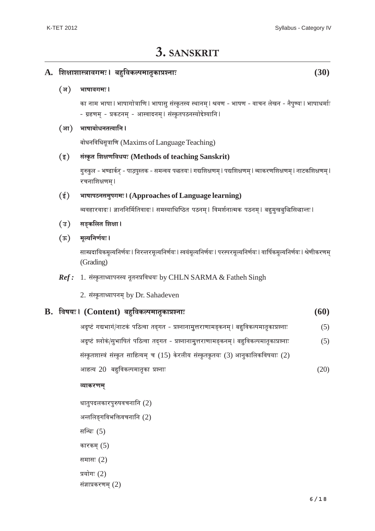# **3. SANSKRIT**

|                                                               | ${\bf A.}$ शिक्षाशास्त्रावगमः ।  बहुविकल्पमातृकाप्रश्नाः<br>(30) |                                                                                                                                                                            |      |  |  |
|---------------------------------------------------------------|------------------------------------------------------------------|----------------------------------------------------------------------------------------------------------------------------------------------------------------------------|------|--|--|
|                                                               | (अ $)$                                                           | भाषावगमः।                                                                                                                                                                  |      |  |  |
|                                                               |                                                                  | का नाम भाषा । भाषागोत्राणि । भाषासु संस्कृतस्य स्थानम् । श्रवण - भाषण - वाचन लेखन - नैपुण्यः । भाषाधर्माः<br>- ग्रहणम् - प्रकटनम् - आस्वादनम् । संस्कृतपठनस्योद्देश्यानि । |      |  |  |
|                                                               | (आ $)$                                                           | भाषाबोधनतत्वानि ।                                                                                                                                                          |      |  |  |
|                                                               |                                                                  | बोधनविधिसूत्राणि (Maxims of Language Teaching)                                                                                                                             |      |  |  |
|                                                               | $(\overline{\mathbf{x}})$                                        | संस्कृत शिक्षणविधयः (Methods of teaching Sanskrit)                                                                                                                         |      |  |  |
|                                                               |                                                                  | गुरुकुल - भण्डार्कर् - पाठ्पुस्तक - समन्वय पद्धतयः । गद्यशिक्षणम् । पद्यशिक्षणम् । व्याकरणशिक्षणम् । नाटकशिक्षणम् ।<br>रचनाशिक्षणम् ।                                      |      |  |  |
| $(\xi)$<br>भाषापठनसमुपगमः । (Approaches of Language learning) |                                                                  |                                                                                                                                                                            |      |  |  |
|                                                               |                                                                  | व्यवहारवादः । ज्ञाननिर्मितिवादः । समस्याधिष्ठित  पठनम् । विमर्शनात्मक  पठनम् । बहुमुखबुद्धिसिद्धान्तः ।                                                                    |      |  |  |
|                                                               | सङ्कलित शिक्षा ।<br>$(\overline{s})$                             |                                                                                                                                                                            |      |  |  |
|                                                               | $(\overline{\mathbf{x}})$                                        | मूल्यनिर्णयः।                                                                                                                                                              |      |  |  |
|                                                               |                                                                  | साम्प्रदायिकमूल्यनिर्णयः । निरन्तरमूल्यनिर्णयः । स्वयंमूल्यनिर्णयः । परस्परमूल्यनिर्णयः । वार्षिकमूल्यनिर्णयः । श्रेणीकरणम्<br>(Grading)                                   |      |  |  |
|                                                               |                                                                  | Ref: 1. संस्कृताध्यापनस्य नूतनप्रविधयः by CHLN SARMA & Fatheh Singh                                                                                                        |      |  |  |
|                                                               |                                                                  | 2. संस्कृताध्यापनम् by Dr. Sahadeven                                                                                                                                       |      |  |  |
| В.                                                            |                                                                  | विषयः । (Content) बहुविकल्पमातृकाप्रश्नाः                                                                                                                                  | (60) |  |  |
|                                                               |                                                                  | अदृष्टं गद्यभागं/नाटकं पठित्वा तद्गत - प्रश्नानामुत्तराणामङ्कनम् । बहुविकल्पमातृकाप्रश्नाः                                                                                 | (5)  |  |  |
|                                                               |                                                                  | अदृष्टं श्लोकं/सुभाषितं पठित्वा तद्गत - प्रश्नानामुत्तराणामङ्कनम् । बहुविकल्पमातृकाप्रश्नाः                                                                                | (5)  |  |  |
|                                                               |                                                                  | संस्कृतशास्त्रं संस्कृत साहित्यम् च (15) केरलीय संस्कृतकृतयः (3) आनुकालिकविषयाः (2)                                                                                        |      |  |  |
|                                                               |                                                                  | आहत्य 20 बहुविकल्पमातृका प्रश्नाः                                                                                                                                          | (20) |  |  |
|                                                               |                                                                  | व्याकरणम्                                                                                                                                                                  |      |  |  |
|                                                               |                                                                  | धातुपदलकारपुरुषवचनानि $(2)$                                                                                                                                                |      |  |  |
|                                                               |                                                                  | अन्तलिङ्गविभक्तिवचनानि (2)                                                                                                                                                 |      |  |  |
|                                                               |                                                                  | सन्धिः (5)                                                                                                                                                                 |      |  |  |
|                                                               |                                                                  | कारकम् $(5)$                                                                                                                                                               |      |  |  |
|                                                               |                                                                  | समासः $(2)$                                                                                                                                                                |      |  |  |
|                                                               |                                                                  | प्रयोगः $(2)$<br>संज्ञाप्रकरणम् $(2)$                                                                                                                                      |      |  |  |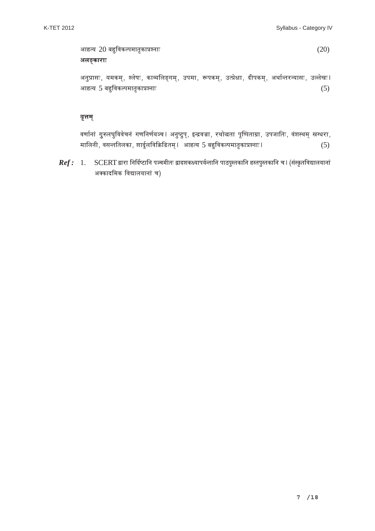आहत्य  $20$  बहुविकल्पमातृकाप्रश्नाः  $(20)$  $a$ कड़ूकाराः

अनुप्रासः, यमकम्, श्लेषः, काव्यलिङ्गम्, उपमा, रूपकम्, उत्प्रेक्षा, दीपकम्, अर्थान्तरन्यासः, उल्लेखः।  $\overline{\text{Mie}}$  5 बहुविकल्पमातृकाप्रश्नाः  $(5)$ 

#### **¥…fik…®…¬**

वर्णानां गुरुलघुविवेचनं गणनिर्णयञ्च । अनुष्टुप्, इन्द्रवज्रा, रथो<mark>द्धता पूष्पिताग्रा, उपजातिः, वंशस्थम् स्रग्धरा</mark>, ®…… ±…x…", ¥…∫…xi… i…±…EÚ…, ∂……n⁄«˘±… ¥… GÚ b˜ıi…®…¬\* +…Ω˛i™… 5 §…Ω÷˛ ¥…EÚ±{…®……i…fiEÚ…|…∂x……&\* (5)

*Ref :* 1. SCERT द्वारा निर्दिष्टानि पञ्चमीतः द्वादशकक्ष्यापर्यन्तानि पाठपुस्तकानि हस्तपुस्तकानि च । (संस्कृतविद्यालयानां अक्कादमिक विद्यालयानां च)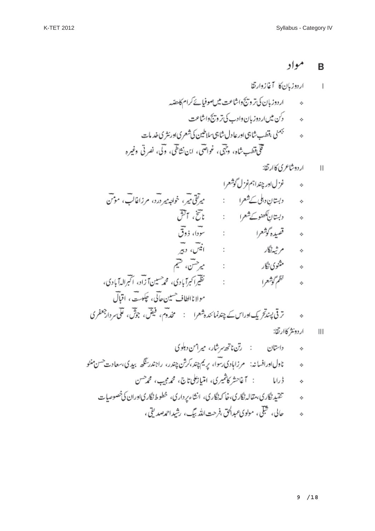ه  
\nه دېتاپن دبل کشهرا : 
$$
میرق میری، خولېییر درد، مرداتای، موتی\nه دېتاپنکھنو کشمرا :  $تاتی، آشی\nه  $5x, y$ وگورا  
\nه  $6x, y$ وگورا  
\nه  $6x, y$ وگارا  
\nه  $6x, y$ وگارا  
\nه  $7x$ وگارا  
\nه  $7x$ وگارا  
\nه  $8x$ وگو<sup>ش</sup>وکرا  
\nه  $8x$ وگو<sup>ش</sup>را  
\nه  $8x$ و<sup>ا</sup>و<sup>ن</sup>و<sup>ا</sup>وک،  $8x$ م<sup>و</sup>سیاتات و آبرالدآبادی،  
\nه  $8x$ وگو<sup>ش</sup>وکرا  
\nه  $18x$ و<sup>ا</sup>و<sup>ا</sup>وک،  $8x$ م<sup>ا</sup>یات و آبیدیه و<sup>ا</sup>وک،  $9x$ م<sup>و</sup>سیات، اقبارا<sup>ر</sup>وک  
\nه  $3x$ و<sup>ا</sup>و<sup>ا</sup>و<sup>ا</sup>و<sup>ا</sup>و<sup>ا</sup>و<sup>ا</sup>و<sup>ا</sup>و<sup>ا</sup>و<sup>ا</sup>و<sup>ا</sup>و<sup>ا</sup>و<sup>ا</sup>و<sup>ا</sup>و<sup>ا</sup>و<sup>ا</sup>و<sup>ا</sup>و<sup>ا</sup>و<sup>ا</sup>و<sup>ا</sup>و<sup>ا</sup>و<sup>ا</sup>و<sup>ا</sup>و<sup>ا</sup>و<sup>ا</sup>و<sup>ا</sup>و<sup>ا</sup>و<sup>ا</sup>و<sup>ا</sup>و<sup>ا</sup>و<sup>ا</sup>و<sup>ا</sup>و<sup>ا</sup>و<sup>ا</sup>و<sup>ا</sup>و<sup>ا</sup>و<sup>ا</sup>و<sup>ا</sup>و<sup>ا</sup>و<sup>ا</sup>و<sup>ا</sup>$
$$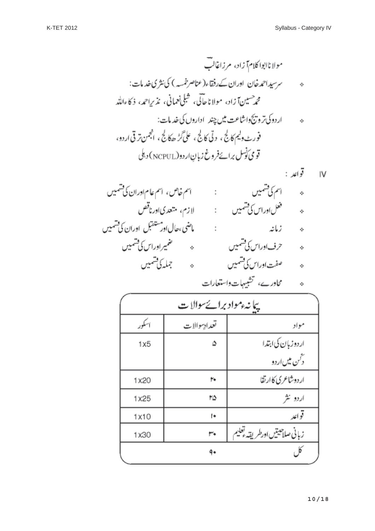| پیانهٔ موادبرائے سوالات |              |                                 |  |
|-------------------------|--------------|---------------------------------|--|
| سلور                    | تعداديبوالات | مواد                            |  |
| 1x5                     | ۵            | اردوزبإن كى ابتدا               |  |
|                         |              | د حس میں اردو                   |  |
| 1x20                    | ۲÷           | اردوشاعري كاارتقا               |  |
| 1x25                    | ۲۵           | اردو نثر                        |  |
| 1x10                    | I٠           | قواعد                           |  |
| 1x30                    | ٣٠           | زبانى صلاحيتين اورطر يقه وتعليم |  |
|                         | ٩٠           |                                 |  |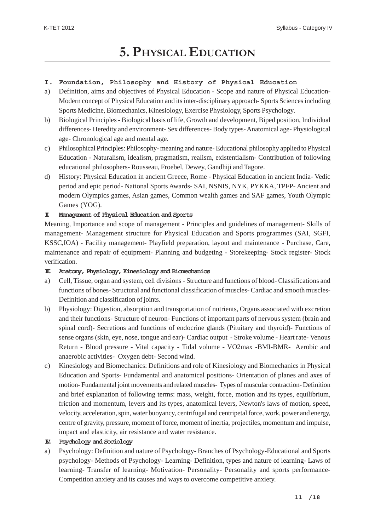# **5. PHYSICAL EDUCATION**

#### **I. Foundation, Philosophy and History of Physical Education**

- a) Definition, aims and objectives of Physical Education Scope and nature of Physical Education-Modern concept of Physical Education and its inter-disciplinary approach- Sports Sciences including Sports Medicine, Biomechanics, Kinesiology, Exercise Physiology, Sports Psychology.
- b) Biological Principles Biological basis of life, Growth and development, Biped position, Individual differences- Heredity and environment- Sex differences- Body types- Anatomical age- Physiological age- Chronological age and mental age.
- c) Philosophical Principles: Philosophy- meaning and nature- Educational philosophy applied to Physical Education - Naturalism, idealism, pragmatism, realism, existentialism- Contribution of following educational philosophers- Rousseau, Froebel, Dewey, Gandhiji and Tagore.
- d) History: Physical Education in ancient Greece, Rome Physical Education in ancient India- Vedic period and epic period- National Sports Awards- SAI, NSNIS, NYK, PYKKA, TPFP- Ancient and modern Olympics games, Asian games, Common wealth games and SAF games, Youth Olympic Games (YOG).

#### **II. Management of Physical Education and Sports**

Meaning, Importance and scope of management - Principles and guidelines of management- Skills of management- Management structure for Physical Education and Sports programmes (SAI, SGFI, KSSC,IOA) - Facility management- Playfield preparation, layout and maintenance - Purchase, Care, maintenance and repair of equipment- Planning and budgeting - Storekeeping- Stock register- Stock verification.

#### **III. Anatomy, Physiology, Kinesiology and Biomechanics**

- a) Cell, Tissue, organ and system, cell divisions Structure and functions of blood- Classifications and functions of bones- Structural and functional classification of muscles- Cardiac and smooth muscles-Definition and classification of joints.
- b) Physiology: Digestion, absorption and transportation of nutrients, Organs associated with excretion and their functions- Structure of neuron- Functions of important parts of nervous system (brain and spinal cord)- Secretions and functions of endocrine glands (Pituitary and thyroid)- Functions of sense organs (skin, eye, nose, tongue and ear)- Cardiac output - Stroke volume - Heart rate- Venous Return - Blood pressure - Vital capacity - Tidal volume - VO2max -BMI-BMR- Aerobic and anaerobic activities- Oxygen debt- Second wind.
- c) Kinesiology and Biomechanics: Definitions and role of Kinesiology and Biomechanics in Physical Education and Sports- Fundamental and anatomical positions- Orientation of planes and axes of motion- Fundamental joint movements and related muscles- Types of muscular contraction- Definition and brief explanation of following terms: mass, weight, force, motion and its types, equilibrium, friction and momentum, levers and its types, anatomical levers, Newton's laws of motion, speed, velocity, acceleration, spin, water buoyancy, centrifugal and centripetal force, work, power and energy, centre of gravity, pressure, moment of force, moment of inertia, projectiles, momentum and impulse, impact and elasticity, air resistance and water resistance.

#### **IV. Psychology and Sociology**

a) Psychology: Definition and nature of Psychology- Branches of Psychology-Educational and Sports psychology- Methods of Psychology- Learning- Definition, types and nature of learning- Laws of learning- Transfer of learning- Motivation- Personality- Personality and sports performance-Competition anxiety and its causes and ways to overcome competitive anxiety.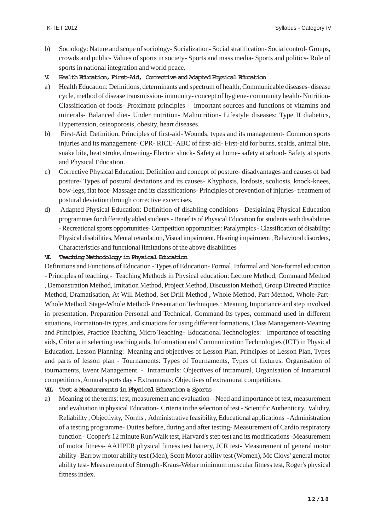- b) Sociology: Nature and scope of sociology- Socialization- Social stratification- Social control- Groups, crowds and public- Values of sports in society- Sports and mass media- Sports and politics- Role of sports in national integration and world peace.
- **V. Health Education, First-Aid, Corrective and Adapted Physical Education**
- a) Health Education: Definitions, determinants and spectrum of health, Communicable diseases- disease cycle, method of disease transmission- immunity- concept of hygiene- community health- Nutrition-Classification of foods- Proximate principles - important sources and functions of vitamins and minerals- Balanced diet- Under nutrition- Malnutrition- Lifestyle diseases: Type II diabetics, Hypertension, osteoporosis, obesity, heart diseases.
- b) First-Aid: Definition, Principles of first-aid- Wounds, types and its management- Common sports injuries and its management- CPR- RICE- ABC of first-aid- First-aid for burns, scalds, animal bite, snake bite, heat stroke, drowning- Electric shock- Safety at home- safety at school- Safety at sports and Physical Education.
- c) Corrective Physical Education: Definition and concept of posture- disadvantages and causes of bad posture- Types of postural deviations and its causes- Khyphosis, lordosis, scoliosis, knock-knees, bow-legs, flat foot- Massage and its classifications- Principles of prevention of injuries- treatment of postural deviation through corrective excercises.
- d) Adapted Physical Education: Definition of disabling conditions Desigining Physical Education programmes for differently abled students - Benefits of Physical Education for students with disabilities - Recreational sports opportunities- Competition opportunities: Paralympics - Classification of disability: Physical disabilities, Mental retardation, Visual impairment, Hearing impairment , Behavioral disorders, Characteristics and functional limitations of the above disabilities

#### **VI. Teaching Methodology in Physical Education**

Definitions and Functions of Education - Types of Education- Formal, Informal and Non-formal education - Principles of teaching - Teaching Methods in Physical education: Lecture Method, Command Method , Demonstration Method, Imitation Method, Project Method, Discussion Method, Group Directed Practice Method, Dramatisation, At Will Method, Set Drill Method , Whole Method, Part Method, Whole-Part-Whole Method, Stage-Whole Method- Presentation Techniques : Meaning Importance and step involved in presentation, Preparation-Personal and Technical, Command-Its types, command used in different situations, Formation-Its types, and situations for using different formations, Class Management-Meaning and Principles, Practice Teaching, Micro Teaching- Educational Technologies: Importance of teaching aids, Criteria in selecting teaching aids, Information and Communication Technologies (ICT) in Physical Education. Lesson Planning: Meaning and objectives of Lesson Plan, Principles of Lesson Plan, Types and parts of lesson plan - Tournaments: Types of Tournaments, Types of fixtures, Organisation of tournaments, Event Management. - Intramurals: Objectives of intramural, Organisation of Intramural competitions, Annual sports day - Extramurals: Objectives of extramural competitions.

#### **VII. Test & Measurements in Physical Education & Sports**

a) Meaning of the terms: test, measurement and evaluation- -Need and importance of test, measurement and evaluation in physical Education- Criteria in the selection of test - Scientific Authenticity, Validity, Reliability , Objectivity, Norms , Administrative feasibility, Educational applications - Administration of a testing programme- Duties before, during and after testing- Measurement of Cardio respiratory function - Cooper's 12 minute Run/Walk test, Harvard's step test and its modifications -Measurement of motor fitness- AAHPER physical fitness test battery, JCR test- Measurement of general motor ability- Barrow motor ability test (Men), Scott Motor ability test (Women), Mc Cloys' general motor ability test- Measurement of Strength -Kraus-Weber minimum muscular fitness test, Roger's physical fitness index.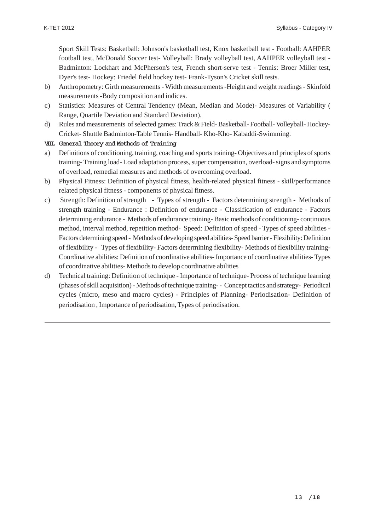Sport Skill Tests: Basketball: Johnson's basketball test, Knox basketball test - Football: AAHPER football test, McDonald Soccer test- Volleyball: Brady volleyball test, AAHPER volleyball test - Badminton: Lockhart and McPherson's test, French short-serve test - Tennis: Broer Miller test, Dyer's test- Hockey: Friedel field hockey test- Frank-Tyson's Cricket skill tests.

- b) Anthropometry: Girth measurements Width measurements -Height and weight readings Skinfold measurements -Body composition and indices.
- c) Statistics: Measures of Central Tendency (Mean, Median and Mode)- Measures of Variability ( Range, Quartile Deviation and Standard Deviation).
- d) Rules and measurements of selected games: Track & Field- Basketball- Football- Volleyball- Hockey-Cricket- Shuttle Badminton-Table Tennis- Handball- Kho-Kho- Kabaddi-Swimming.

#### **VIII. General Theory and Methods of Training**

- a) Definitions of conditioning, training, coaching and sports training- Objectives and principles of sports training- Training load- Load adaptation process, super compensation, overload- signs and symptoms of overload, remedial measures and methods of overcoming overload.
- b) Physical Fitness: Definition of physical fitness, health-related physical fitness skill/performance related physical fitness - components of physical fitness.
- c) Strength: Definition of strength Types of strength Factors determining strength Methods of strength training - Endurance : Definition of endurance - Classification of endurance - Factors determining endurance - Methods of endurance training- Basic methods of conditioning- continuous method, interval method, repetition method- Speed: Definition of speed - Types of speed abilities - Factors determining speed - Methods of developing speed abilities- Speed barrier - Flexibility: Definition of flexibility - Types of flexibility- Factors determining flexibility- Methods of flexibility training-Coordinative abilities: Definition of coordinative abilities- Importance of coordinative abilities- Types of coordinative abilities- Methods to develop coordinative abilities
- d) Technical training: Definition of technique Importance of technique- Process of technique learning (phases of skill acquisition) - Methods of technique training- - Concept tactics and strategy- Periodical cycles (micro, meso and macro cycles) - Principles of Planning- Periodisation- Definition of periodisation , Importance of periodisation, Types of periodisation.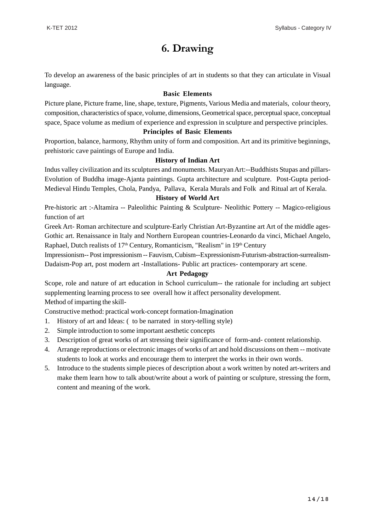## **6. Drawing**

To develop an awareness of the basic principles of art in students so that they can articulate in Visual language.

#### **Basic Elements**

Picture plane, Picture frame, line, shape, texture, Pigments, Various Media and materials, colour theory, composition, characteristics of space, volume, dimensions, Geometrical space, perceptual space, conceptual space, Space volume as medium of experience and expression in sculpture and perspective principles.

#### **Principles of Basic Elements**

Proportion, balance, harmony, Rhythm unity of form and composition. Art and its primitive beginnings, prehistoric cave paintings of Europe and India.

#### **History of Indian Art**

Indus valley civilization and its sculptures and monuments. Mauryan Art:--Buddhists Stupas and pillars-Evolution of Buddha image-Ajanta paintings. Gupta architecture and sculpture. Post-Gupta period-Medieval Hindu Temples, Chola, Pandya, Pallava, Kerala Murals and Folk and Ritual art of Kerala.

#### **History of World Art**

Pre-historic art :-Altamira -- Paleolithic Painting & Sculpture- Neolithic Pottery -- Magico-religious function of art

Greek Art- Roman architecture and sculpture-Early Christian Art-Byzantine art Art of the middle ages-Gothic art. Renaissance in Italy and Northern European countries-Leonardo da vinci, Michael Angelo, Raphael, Dutch realists of  $17<sup>th</sup>$  Century, Romanticism, "Realism" in  $19<sup>th</sup>$  Century

Impressionism-- Post impressionism -- Fauvism, Cubism--Expressionism-Futurism-abstraction-surrealism-Dadaism-Pop art, post modern art -Installations- Public art practices- contemporary art scene.

#### **Art Pedagogy**

Scope, role and nature of art education in School curriculum-- the rationale for including art subject supplementing learning process to see overall how it affect personality development.

Method of imparting the skill-

Constructive method: practical work-concept formation-Imagination

- 1. History of art and Ideas: ( to be narrated in story-telling style)
- 2. Simple introduction to some important aesthetic concepts
- 3. Description of great works of art stressing their significance of form-and- content relationship.
- 4. Arrange reproductions or electronic images of works of art and hold discussions on them -- motivate students to look at works and encourage them to interpret the works in their own words.
- 5. Introduce to the students simple pieces of description about a work written by noted art-writers and make them learn how to talk about/write about a work of painting or sculpture, stressing the form, content and meaning of the work.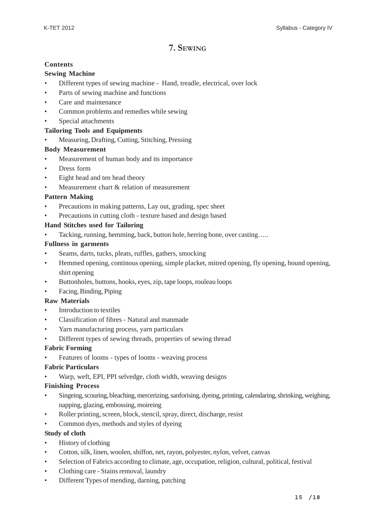### **7. SEWING**

#### **Contents**

#### **Sewing Machine**

- Different types of sewing machine Hand, treadle, electrical, over lock
- Parts of sewing machine and functions
- Care and maintenance
- Common problems and remedies while sewing
- Special attachments

#### **Tailoring Tools and Equipments**

• Measuring, Drafting, Cutting, Stitching, Pressing

#### **Body Measurement**

- Measurement of human body and its importance
- Dress form
- Eight head and ten head theory
- Measurement chart & relation of measurement

#### **Pattern Making**

- Precautions in making patterns, Lay out, grading, spec sheet
- Precautions in cutting cloth texture based and design based

#### **Hand Stitches used for Tailoring**

• Tacking, running, hemming, back, button hole, herring bone, over casting…..

#### **Fullness in garments**

- Seams, darts, tucks, pleats, ruffles, gathers, smocking
- Hemmed opening, continous opening, simple placket, mitred opening, fly opening, bound opening, shirt opening
- Buttonholes, buttons, hooks, eyes, zip, tape loops, rouleau loops
- Facing, Binding, Piping

#### **Raw Materials**

- Introduction to textiles
- Classification of fibres Natural and manmade
- Yarn manufacturing process, yarn particulars
- Different types of sewing threads, properties of sewing thread

#### **Fabric Forming**

• Features of looms - types of looms - weaving process

#### **Fabric Particulars**

Warp, weft, EPI, PPI selvedge, cloth width, weaving designs

#### **Finishing Process**

- Singeing, scouring, bleaching, mercerizing, sanforising, dyeing, printing, calendaring, shrinking, weighing, napping, glazing, embossing, moireing
- Roller printing, screen, block, stencil, spray, direct, discharge, resist
- Common dyes, methods and styles of dyeing

#### **Study of cloth**

- History of clothing
- Cotton, silk, linen, woolen, shiffon, net, rayon, polyester, nylon, velvet, canvas
- Selection of Fabrics according to climate, age, occupation, religion, cultural, political, festival
- Clothing care Stains removal, laundry
- Different Types of mending, darning, patching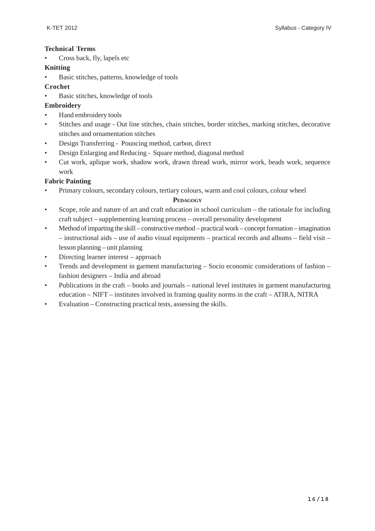#### **Technical Terms**

• Cross back, fly, lapels etc

#### **Knitting**

- Basic stitches, patterns, knowledge of tools
- **Crochet**
- Basic stitches, knowledge of tools
- **Embroidery**
- Hand embroidery tools
- Stitches and usage Out line stitches, chain stitches, border stitches, marking stitches, decorative stitches and ornamentation stitches
- Design Transferring Pouncing method, carbon, direct
- Design Enlarging and Reducing Square method, diagonal method
- Cut work, aplique work, shadow work, drawn thread work, mirror work, beads work, sequence work

#### **Fabric Painting**

• Primary colours, secondary colours, tertiary colours, warm and cool colours, colour wheel

#### **PEDAGOGY**

- Scope, role and nature of art and craft education in school curriculum the rationale for including craft subject – supplementing learning process – overall personality development
- Method of imparting the skill constructive method practical work concept formation imagination – instructional aids – use of audio visual equipments – practical records and albums – field visit – lesson planning – unit planning
- Directing learner interest approach
- Trends and development in garment manufacturing Socio economic considerations of fashion fashion designers – India and abroad
- Publications in the craft books and journals national level institutes in garment manufacturing education – NIFT – institutes involved in framing quality norms in the craft – ATIRA, NITRA
- Evaluation Constructing practical tests, assessing the skills.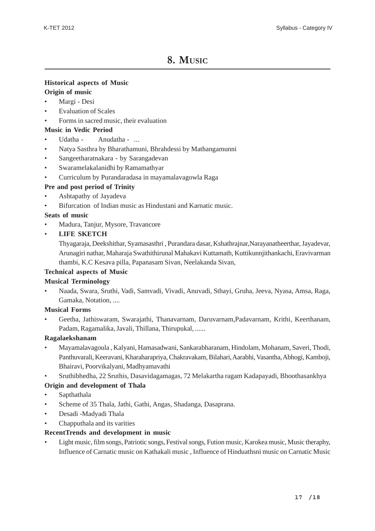### **8. MUSIC**

#### **Historical aspects of Music**

#### **Origin of music**

- Margi Desi
- Evaluation of Scales
- Forms in sacred music, their evaluation

#### **Music in Vedic Period**

- Udatha Anudatha ...
- Natya Sasthra by Bharathamuni, Bhrahdessi by Mathangamunni
- Sangeetharatnakara by Sarangadevan
- Swaramelakalanidhi by Ramamathyar
- Curriculum by Purandaradasa in mayamalavagowla Raga

#### **Pre and post period of Trinity**

- Ashtapathy of Jayadeva
- Bifurcation of Indian music as Hindustani and Karnatic music.

#### **Seats of music**

• Madura, Tanjur, Mysore, Travancore

#### • **LIFE SKETCH**

Thyagaraja, Deekshithar, Syamasasthri , Purandara dasar, Kshathrajnar,Narayanatheerthar, Jayadevar, Arunagiri nathar, Maharaja Swathithirunal Mahakavi Kuttamath, Kuttikunnjithankachi, Eravivarman thambi, K.C Kesava pilla, Papanasam Sivan, Neelakanda Sivan,

#### **Technical aspects of Music**

#### **Musical Terminology**

• Naada, Swara, Sruthi, Vadi, Samvadi, Vivadi, Anuvadi, Sthayi, Gruha, Jeeva, Nyasa, Amsa, Raga, Gamaka, Notation, ....

#### **Musical Forms**

• Geetha, Jathiswaram, Swarajathi, Thanavarnam, Daruvarnam,Padavarnam, Krithi, Keerthanam, Padam, Ragamalika, Javali, Thillana, Thirupukal, ......

#### **Ragalaekshanam**

- Mayamalavagoula , Kalyani, Hamasadwani, Sankarabharanam, Hindolam, Mohanam, Saveri, Thodi, Panthuvarali, Keeravani, Kharaharapriya, Chakravakam, Bilahari, Aarabhi, Vasantha, Abhogi, Kamboji, Bhairavi, Poorvikalyani, Madhyamavathi
- Sruthibhedha, 22 Sruthis, Dasavidagamagas, 72 Melakartha ragam Kadapayadi, Bhoothasankhya

#### **Origin and development of Thala**

- Sapthathala
- Scheme of 35 Thala, Jathi, Gathi, Angas, Shadanga, Dasaprana.
- Desadi -Madyadi Thala
- Chapputhala and its varities

#### **RecentTrends and development in music**

• Light music, film songs, Patriotic songs, Festival songs, Fution music, Karokea music, Music theraphy, Influence of Carnatic music on Kathakali music , Influence of Hinduathsni music on Carnatic Music